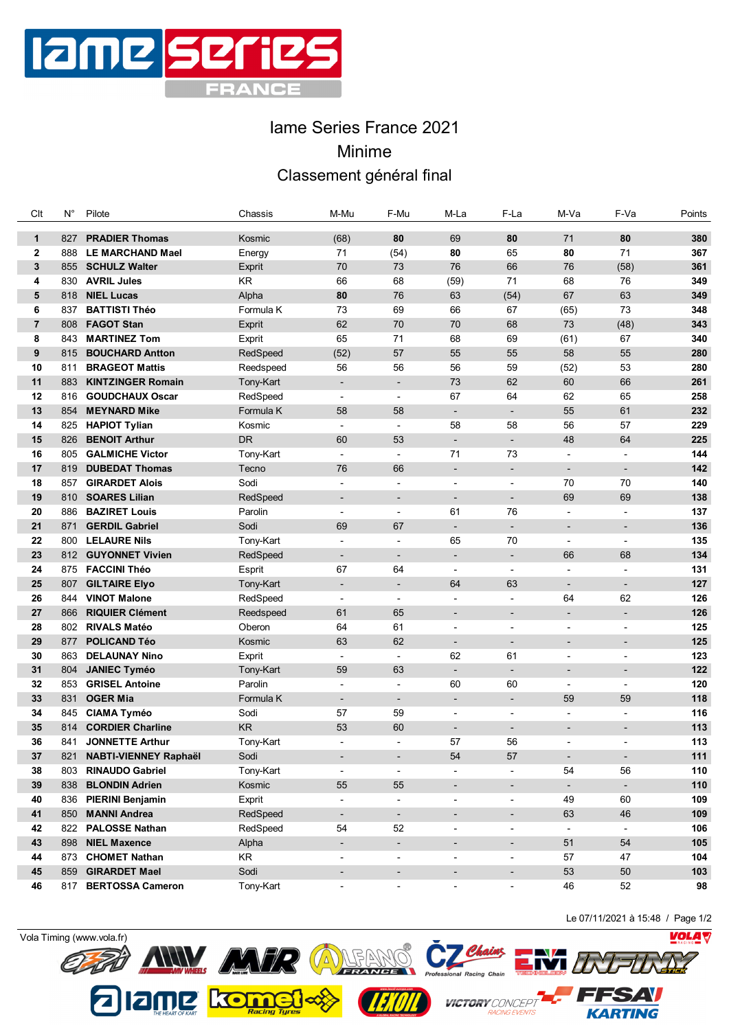

## Iame Series France 2021 Minime Classement général final

| Clt            | $N^{\circ}$ | Pilote                    | Chassis   | M-Mu                     | F-Mu                     | M-La                     | F-La                     | M-Va                     | F-Va                     | Points |
|----------------|-------------|---------------------------|-----------|--------------------------|--------------------------|--------------------------|--------------------------|--------------------------|--------------------------|--------|
| $\mathbf{1}$   | 827         | <b>PRADIER Thomas</b>     | Kosmic    | (68)                     | 80                       | 69                       | 80                       | 71                       | 80                       | 380    |
| $\mathbf{2}$   | 888         | <b>LE MARCHAND Mael</b>   | Energy    | 71                       | (54)                     | 80                       | 65                       | 80                       | 71                       | 367    |
| 3              | 855         | <b>SCHULZ Walter</b>      | Exprit    | 70                       | 73                       | 76                       | 66                       | 76                       | (58)                     | 361    |
| 4              | 830         | <b>AVRIL Jules</b>        | KR.       | 66                       | 68                       | (59)                     | 71                       | 68                       | 76                       | 349    |
| 5              | 818         | <b>NIEL Lucas</b>         | Alpha     | 80                       | 76                       | 63                       | (54)                     | 67                       | 63                       | 349    |
| 6              | 837         | <b>BATTISTI Théo</b>      | Formula K | 73                       | 69                       | 66                       | 67                       | (65)                     | 73                       | 348    |
| $\overline{7}$ | 808         | <b>FAGOT Stan</b>         | Exprit    | 62                       | 70                       | 70                       | 68                       | 73                       | (48)                     | 343    |
| 8              | 843         | <b>MARTINEZ Tom</b>       | Exprit    | 65                       | 71                       | 68                       | 69                       | (61)                     | 67                       | 340    |
| 9              | 815         | <b>BOUCHARD Antton</b>    | RedSpeed  | (52)                     | 57                       | 55                       | 55                       | 58                       | 55                       | 280    |
| 10             | 811         | <b>BRAGEOT Mattis</b>     | Reedspeed | 56                       | 56                       | 56                       | 59                       | (52)                     | 53                       | 280    |
| 11             | 883         | <b>KINTZINGER Romain</b>  | Tony-Kart | $\overline{\phantom{a}}$ | $\overline{\phantom{a}}$ | 73                       | 62                       | 60                       | 66                       | 261    |
| 12             | 816         | <b>GOUDCHAUX Oscar</b>    | RedSpeed  | $\overline{\phantom{a}}$ | $\overline{\phantom{a}}$ | 67                       | 64                       | 62                       | 65                       | 258    |
| 13             | 854         | <b>MEYNARD Mike</b>       | Formula K | 58                       | 58                       | $\overline{\phantom{a}}$ | $\overline{\phantom{a}}$ | 55                       | 61                       | 232    |
| 14             |             | 825 HAPIOT Tylian         | Kosmic    | $\blacksquare$           | $\blacksquare$           | 58                       | 58                       | 56                       | 57                       | 229    |
| 15             | 826         | <b>BENOIT Arthur</b>      | <b>DR</b> | 60                       | 53                       | $\overline{\phantom{a}}$ | $\blacksquare$           | 48                       | 64                       | 225    |
| 16             | 805         | <b>GALMICHE Victor</b>    | Tony-Kart | $\blacksquare$           | $\overline{\phantom{a}}$ | 71                       | 73                       | $\overline{\phantom{a}}$ | $\blacksquare$           | 144    |
| 17             | 819         | <b>DUBEDAT Thomas</b>     | Tecno     | 76                       | 66                       | $\overline{\phantom{a}}$ | $\overline{\phantom{a}}$ | $\overline{\phantom{a}}$ | $\overline{\phantom{a}}$ | 142    |
| 18             | 857         | <b>GIRARDET Alois</b>     | Sodi      |                          | ÷                        | $\overline{a}$           | $\overline{\phantom{a}}$ | 70                       | 70                       | 140    |
| 19             | 810         | <b>SOARES Lilian</b>      | RedSpeed  | $\overline{\phantom{a}}$ | $\overline{\phantom{a}}$ | $\overline{\phantom{a}}$ | $\overline{\phantom{a}}$ | 69                       | 69                       | 138    |
| 20             | 886         | <b>BAZIRET Louis</b>      | Parolin   | $\blacksquare$           | ÷,                       | 61                       | 76                       | $\overline{a}$           | $\overline{\phantom{a}}$ | 137    |
| 21             | 871         | <b>GERDIL Gabriel</b>     | Sodi      | 69                       | 67                       | $\overline{\phantom{a}}$ | $\overline{\phantom{a}}$ | $\overline{\phantom{a}}$ | $\overline{\phantom{a}}$ | 136    |
| 22             | 800         | <b>LELAURE Nils</b>       | Tony-Kart | $\blacksquare$           | $\overline{\phantom{a}}$ | 65                       | 70                       | ÷,                       | ÷                        | 135    |
| 23             | 812         | <b>GUYONNET Vivien</b>    | RedSpeed  | $\overline{\phantom{a}}$ | $\overline{\phantom{a}}$ | $\overline{\phantom{a}}$ | $\overline{\phantom{a}}$ | 66                       | 68                       | 134    |
| 24             | 875         | <b>FACCINI Théo</b>       | Esprit    | 67                       | 64                       | $\overline{\phantom{a}}$ | $\blacksquare$           | $\overline{a}$           | $\overline{a}$           | 131    |
| 25             | 807         | <b>GILTAIRE Elyo</b>      | Tony-Kart | $\overline{\phantom{a}}$ | $\overline{\phantom{a}}$ | 64                       | 63                       | $\overline{\phantom{a}}$ | $\overline{\phantom{a}}$ | 127    |
| 26             | 844         | <b>VINOT Malone</b>       | RedSpeed  | $\overline{\phantom{a}}$ | $\overline{\phantom{a}}$ | $\blacksquare$           | $\overline{a}$           | 64                       | 62                       | 126    |
| 27             | 866         | <b>RIQUIER Clément</b>    | Reedspeed | 61                       | 65                       | $\overline{\phantom{a}}$ | $\blacksquare$           | $\overline{\phantom{a}}$ | $\overline{\phantom{a}}$ | 126    |
| 28             | 802         | <b>RIVALS Matéo</b>       | Oberon    | 64                       | 61                       | $\overline{\phantom{a}}$ | $\blacksquare$           | $\blacksquare$           | $\blacksquare$           | 125    |
| 29             | 877         | <b>POLICAND Téo</b>       | Kosmic    | 63                       | 62                       | $\overline{\phantom{a}}$ | $\overline{\phantom{a}}$ | $\blacksquare$           | $\overline{\phantom{0}}$ | 125    |
| 30             | 863         | <b>DELAUNAY Nino</b>      | Exprit    | $\blacksquare$           | $\overline{a}$           | 62                       | 61                       | $\overline{\phantom{a}}$ | $\overline{a}$           | 123    |
| 31             | 804         | <b>JANIEC Tyméo</b>       | Tony-Kart | 59                       | 63                       | $\overline{\phantom{a}}$ | $\overline{\phantom{a}}$ |                          |                          | 122    |
| 32             | 853         | <b>GRISEL Antoine</b>     | Parolin   | $\blacksquare$           | $\overline{\phantom{a}}$ | 60                       | 60                       | $\overline{\phantom{a}}$ | $\overline{\phantom{a}}$ | 120    |
| 33             | 831         | <b>OGER Mia</b>           | Formula K | $\overline{\phantom{a}}$ | $\overline{\phantom{a}}$ | $\overline{\phantom{a}}$ | $\overline{\phantom{a}}$ | 59                       | 59                       | 118    |
| 34             | 845         | <b>CIAMA Tyméo</b>        | Sodi      | 57                       | 59                       | $\overline{\phantom{a}}$ | $\blacksquare$           | $\blacksquare$           | $\blacksquare$           | 116    |
| 35             | 814         | <b>CORDIER Charline</b>   | <b>KR</b> | 53                       | 60                       |                          |                          |                          |                          | 113    |
| 36             | 841         | <b>JONNETTE Arthur</b>    | Tony-Kart | $\blacksquare$           | $\blacksquare$           | 57                       | 56                       |                          | Ĭ.                       | 113    |
| $37\,$         |             | 821 NABTI-VIENNEY Raphaël | Sodi      |                          |                          | 54                       | 57                       |                          |                          | $111$  |
| 38             | 803         | <b>RINAUDO Gabriel</b>    | Tony-Kart | $\overline{\phantom{a}}$ | $\overline{\phantom{a}}$ | $\overline{\phantom{a}}$ | $\overline{\phantom{a}}$ | 54                       | 56                       | 110    |
| 39             | 838         | <b>BLONDIN Adrien</b>     | Kosmic    | 55                       | 55                       | $\overline{\phantom{a}}$ | $\overline{\phantom{a}}$ | $\blacksquare$           | $\overline{\phantom{a}}$ | 110    |
| 40             |             | 836 PIERINI Benjamin      | Exprit    | $\overline{\phantom{a}}$ | $\overline{\phantom{a}}$ | $\overline{\phantom{a}}$ | $\blacksquare$           | 49                       | 60                       | 109    |
| 41             | 850         | <b>MANNI Andrea</b>       | RedSpeed  | $\overline{\phantom{a}}$ | $\overline{\phantom{a}}$ | $\overline{\phantom{a}}$ | $\overline{\phantom{a}}$ | 63                       | 46                       | 109    |
| 42             |             | 822 PALOSSE Nathan        | RedSpeed  | 54                       | 52                       | $\overline{\phantom{a}}$ | $\overline{\phantom{a}}$ | $\overline{\phantom{a}}$ | $\overline{\phantom{a}}$ | 106    |
| 43             | 898         | <b>NIEL Maxence</b>       | Alpha     | $\overline{\phantom{a}}$ | $\overline{\phantom{a}}$ | $\overline{\phantom{a}}$ | $\overline{\phantom{a}}$ | 51                       | 54                       | 105    |
| 44             |             | 873 CHOMET Nathan         | <b>KR</b> | $\overline{\phantom{a}}$ | $\overline{\phantom{a}}$ | $\overline{\phantom{a}}$ | $\overline{\phantom{a}}$ | 57                       | 47                       | 104    |
| 45             | 859         | <b>GIRARDET Mael</b>      | Sodi      | $\overline{\phantom{a}}$ | $\overline{\phantom{a}}$ | $\overline{\phantom{a}}$ | $\overline{\phantom{a}}$ | 53                       | 50                       | 103    |
| 46             | 817         | <b>BERTOSSA Cameron</b>   | Tony-Kart | $\overline{\phantom{a}}$ | $\overline{\phantom{a}}$ | $\overline{a}$           | $\overline{\phantom{a}}$ | 46                       | 52                       | 98     |

Le 07/11/2021 à 15:48 / Page 1/2

**KARTING** 

**VOLA**